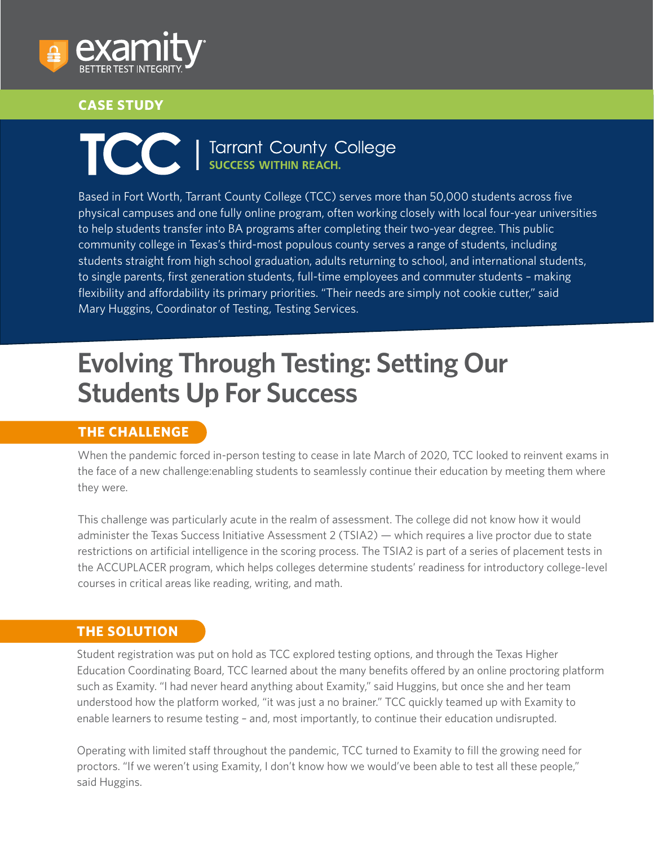

#### **CASE STUDY**

# **TCCC** | Tarrant County College

Based in Fort Worth, Tarrant County College (TCC) serves more than 50,000 students across five physical campuses and one fully online program, often working closely with local four-year universities to help students transfer into BA programs after completing their two-year degree. This public community college in Texas's third-most populous county serves a range of students, including students straight from high school graduation, adults returning to school, and international students, to single parents, first generation students, full-time employees and commuter students – making flexibility and affordability its primary priorities. "Their needs are simply not cookie cutter," said Mary Huggins, Coordinator of Testing, Testing Services.

# **Evolving Through Testing: Setting Our Students Up For Success**

#### **THE CHALLENGE**

When the pandemic forced in-person testing to cease in late March of 2020, TCC looked to reinvent exams in the face of a new challenge:enabling students to seamlessly continue their education by meeting them where they were.

This challenge was particularly acute in the realm of assessment. The college did not know how it would administer the Texas Success Initiative Assessment 2 (TSIA2) — which requires a live proctor due to state restrictions on artificial intelligence in the scoring process. The TSIA2 is part of a series of placement tests in the ACCUPLACER program, which helps colleges determine students' readiness for introductory college-level courses in critical areas like reading, writing, and math.

#### **THE SOLUTION**

Student registration was put on hold as TCC explored testing options, and through the Texas Higher Education Coordinating Board, TCC learned about the many benefits offered by an online proctoring platform such as Examity. "I had never heard anything about Examity," said Huggins, but once she and her team understood how the platform worked, "it was just a no brainer." TCC quickly teamed up with Examity to enable learners to resume testing – and, most importantly, to continue their education undisrupted.

Operating with limited staff throughout the pandemic, TCC turned to Examity to fill the growing need for proctors. "If we weren't using Examity, I don't know how we would've been able to test all these people," said Huggins.